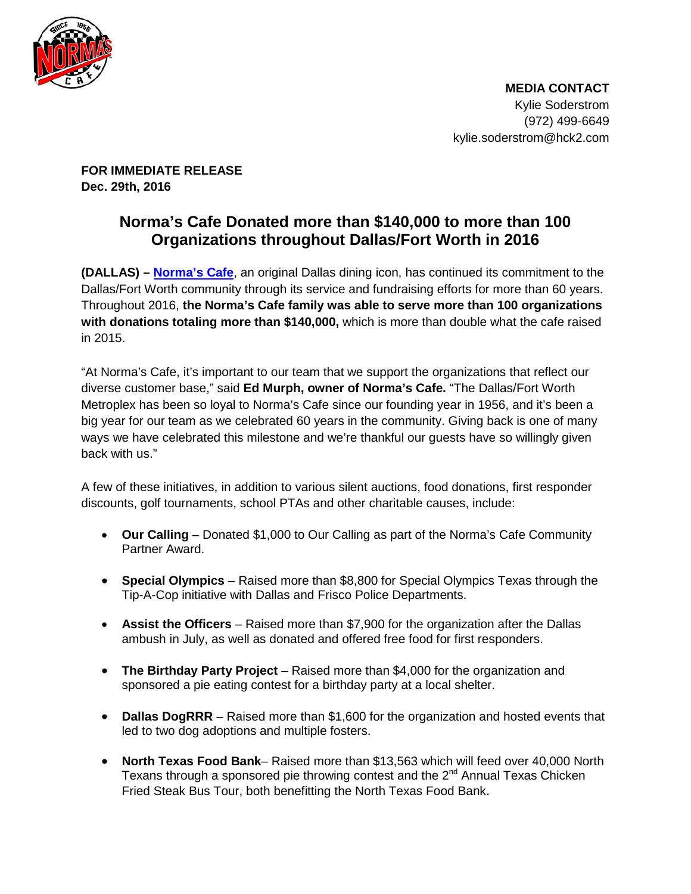

 **MEDIA CONTACT** Kylie Soderstrom (972) 499-6649 kylie.soderstrom@hck2.com

**FOR IMMEDIATE RELEASE Dec. 29th, 2016**

## **Norma's Cafe Donated more than \$140,000 to more than 100 Organizations throughout Dallas/Fort Worth in 2016**

**(DALLAS) – [Norma's Cafe](http://www.normascafe.com/)**, an original Dallas dining icon, has continued its commitment to the Dallas/Fort Worth community through its service and fundraising efforts for more than 60 years. Throughout 2016, **the Norma's Cafe family was able to serve more than 100 organizations with donations totaling more than \$140,000,** which is more than double what the cafe raised in 2015.

"At Norma's Cafe, it's important to our team that we support the organizations that reflect our diverse customer base," said **Ed Murph, owner of Norma's Cafe.** "The Dallas/Fort Worth Metroplex has been so loyal to Norma's Cafe since our founding year in 1956, and it's been a big year for our team as we celebrated 60 years in the community. Giving back is one of many ways we have celebrated this milestone and we're thankful our guests have so willingly given back with us."

A few of these initiatives, in addition to various silent auctions, food donations, first responder discounts, golf tournaments, school PTAs and other charitable causes, include:

- **Our Calling** Donated \$1,000 to Our Calling as part of the Norma's Cafe Community Partner Award.
- **Special Olympics** Raised more than \$8,800 for Special Olympics Texas through the Tip-A-Cop initiative with Dallas and Frisco Police Departments.
- **Assist the Officers** Raised more than \$7,900 for the organization after the Dallas ambush in July, as well as donated and offered free food for first responders.
- **The Birthday Party Project** Raised more than \$4,000 for the organization and sponsored a pie eating contest for a birthday party at a local shelter.
- **Dallas DogRRR** Raised more than \$1,600 for the organization and hosted events that led to two dog adoptions and multiple fosters.
- **North Texas Food Bank** Raised more than \$13,563 which will feed over 40,000 North Texans through a sponsored pie throwing contest and the  $2<sup>nd</sup>$  Annual Texas Chicken Fried Steak Bus Tour, both benefitting the North Texas Food Bank.